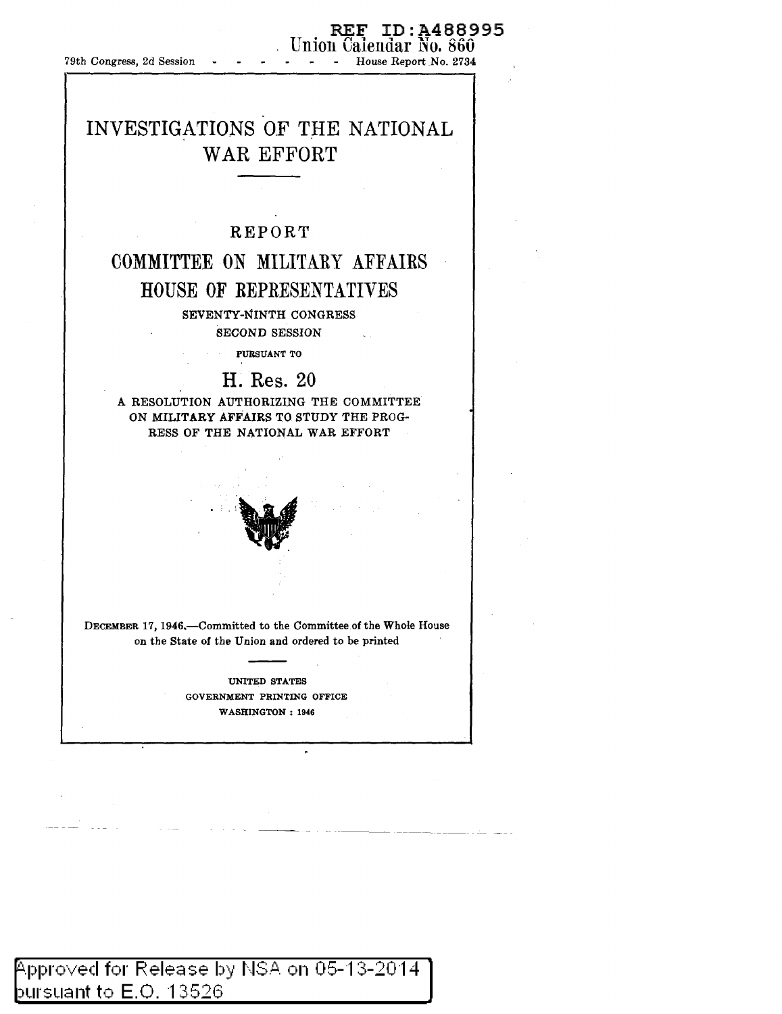79th Congress, 2d Session -

# REF ID:A488995 Union Calendar No. 860<br>House Report No. 2734

--- ---~----- - --- -- -

# INVESTIGATIONS OF THE NATIONAL WAR EFFORT

## REPORT

## COMMITTEE ON MILITARY AFFAIRS HOUSE OF REPRESENTATIVES

SEVENTY-NINTH CONGRESS SECOND SESSION

PURSUANT TO

## H. Res. 20

A RESOLUTION AUTHORIZING THE COMMITTEE ON MILITARY AFFAIRS TO STUDY THE PROG-RESS OF THE NATIONAL WAR EFFORT



DECEMBER 17, 1946.-Committed to the Committee.of the Whole House on the State of the Union and ordered to be printed

> UNITED STATES GOVERNMENT PRINTING OFFICE WASHINGTON: 1946

Approved for Release by NSA on 05-13-2014. þursuant to  $\mathsf{E}.\mathsf{O}.$  13526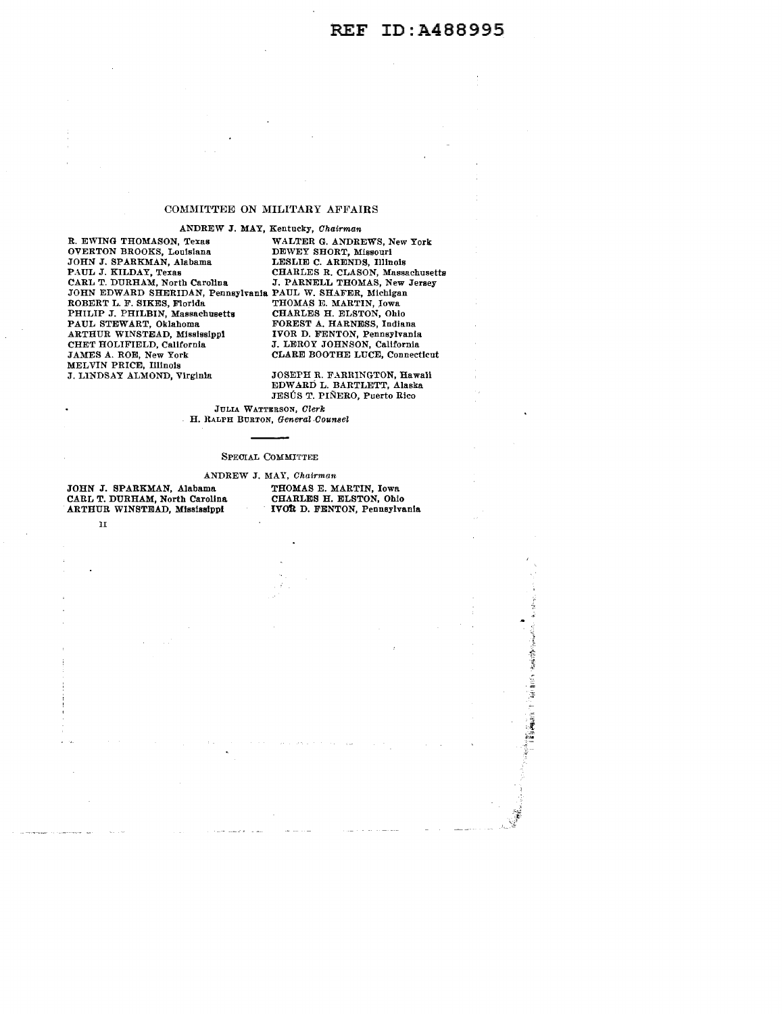## COMMITTEE ON MILITARY AFFAIRS

ANDREW J. MAY, Kentucky, Chairman<br>R. EWING THOMASON, Texas WALTER G. ANDRI OVERTON BROOKS, Louisiana DEWEY SHORT, Missouri JOHN J. SPARKMAN, Alabama LESLIE C. ARENDS, Illinois EXAMPLE TROUGHOUSES, THE MESSAGE AND AND THE SHORT, MISSOUTH JOHN J. SPARKMAN, Alabama LESLIE C. ARENDS, Illinois<br>
PAUL J. KILDAY, Texas CHARLES R. CLASON, Massachusetts<br>
CARL T. DURHAM, North Carolina J. PARNELL THOMAS, N CARL T. DURHAM, North Carolina J. PARNELL THOMAS, New Jersey JOHN EDWARD SHERIDAN, Pennsylnnia PAUL W. SHAFER, Michigan ROBERT L. F. SIKES, Florida THOMA.S E. MARTIN, .Iowa PHILIP J. PHILBIN, Massachusetts CHARLES H. ELSTON, Ohio PAUL STEWART, Oklahoma FOREST A. HARNESS, Indian ARTHUR WINSTEAD, Mississippi CHET HOLIFIELD, California CHET HOLIFIELD, California J. LEROY JOHNSON, California<br>JAMES A. ROE, New York CLARE BOOTHE LUCE, Connect MELVIN PRICE, Illinois<br>J. LINDSAY ALMOND, Virginia

WALTER G. ANDREWS, New York FOREST A. HARNESS, Indiana<br>IVOR D. FENTON, Pennsylvania CLARE BOOTHE LUCE, Connecticut

JOSEPH R. FARRINGTON, Hawali EDWARD L. BARTLETT, Alaska JESÚS T. PIÑERO, Puerto Rico

JULIA WATTERSON, Clerk H. RALPH BURTON, General Counsel

#### SPEOIAL COMMITTEE

ANDREW J. MAY, Chairman<br>ma THOMAS E. MARTIN, Iowa

JOHN J. SPARKMAN, Alabama THOMAS E. MARTIN, Iowa<br>CARL T. DURHAM, North Carolina CHARLES H. ELSTON, Ohio CARL T. DURHAM, North Carolina CHARLES H. ELSTON, Ohio ARTHUR WINSTEAD, Mississippi IVotl D. FENTON, Pennsylvania

II

海洋 Ì š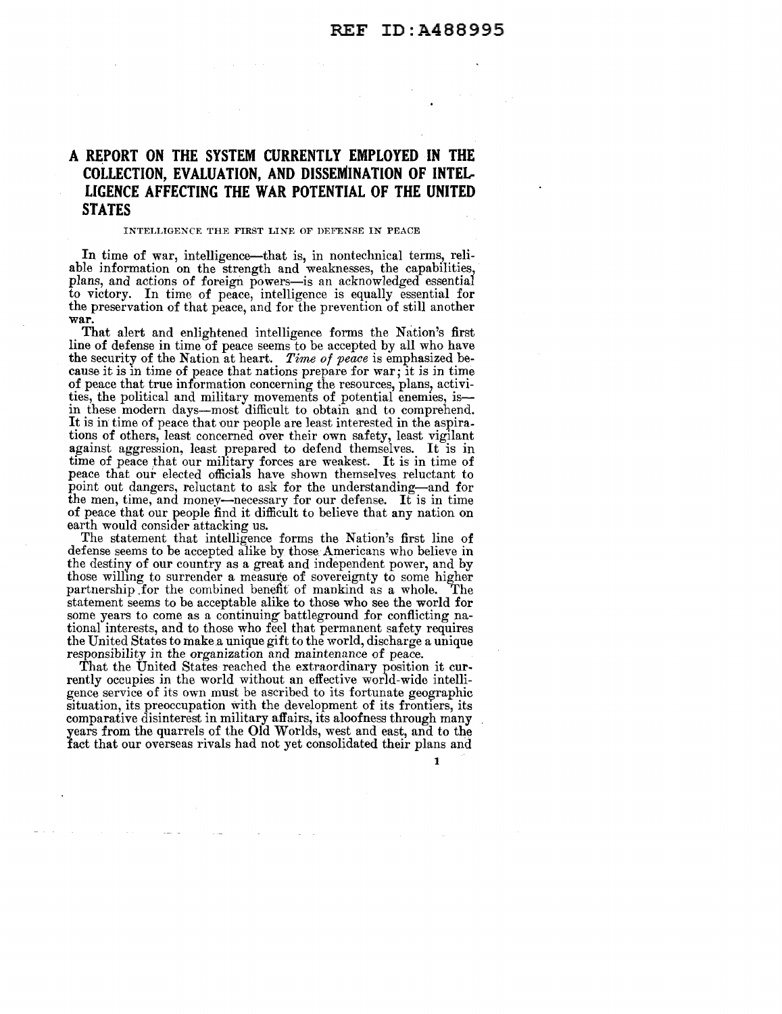## **A REPORT ON THE SYSTEM CURRENTLY EMPLOYED IN THE COLLECTION, EVALUATION, AND DISSEMINATION OF INTEL-LIGENCE AFFECTING THE WAR POTENTIAL OF THE UNITED STATES**

#### INTELLIGENCE THE FIRST LINE OF DEFENSE IN PEACE

In time of war, intelligence—that is, in nontechnical terms, reliable information on the strength and weaknesses, the capabilities, plans, and actions of foreign powers-is an acknowledged essential to victory. In time of peace, intelligence is equally essential for the preservation of that peace, and for the prevention of still another war.

That alert and enlightened intelligence forms the Nation's first line of defense in time of peace seems to be accepted by all who have the security of the Nation at heart. *Time of peace* is emphasized because it is in time of peace that nations prepare for war; it is in time of peace that true information concerning the resources, plans, activities, the political and military movements of potential enemies, isin these modern days-most difficult to obtain and to comprehend. It is in time of peace that our people are least interested in the aspirations of others, least concerned over their own safety, least vigilant against aggression, least prepared to defend themselves. It is in time of peace that our military forces are weakest. It is in time of peace that our elected officials have shown themselves reluctant to point out dangers, reluctant to ask for the understanding-and for the men, time, and money-necessary for our defense. It is in time of peace that our people find it difficult to believe that any nation on earth would consider attacking us.

The statement that intelligence forms the Nation's first line of defense seems to be accepted alike by those Americans who believe in the destiny of our country as a great and independent power, and by those willing to surrender a measure of sovereignty to some higher partnership .for the combined benefit of mankind as a whole. The statement seems to be acceptable alike to those who see the world for some years to come as a continuing battleground for conflicting national interests, and to those who feel that permanent safety requires the United States to make a unique gift to the world, discharge a unique responsibility in the organization and maintenance of peace.

That the United States reached the extraordinary position it currently occupies in the world without an effective world-wide intelligence service of its own must be ascribed to its fortunate geographic situation, its preoccupation with the development of its frontiers, its comparative disinterest in military affairs, its aloofness through many years from the quarrels of the Old Worlds, west and east, and to the fact that our overseas rivals had not yet consolidated their plans and

1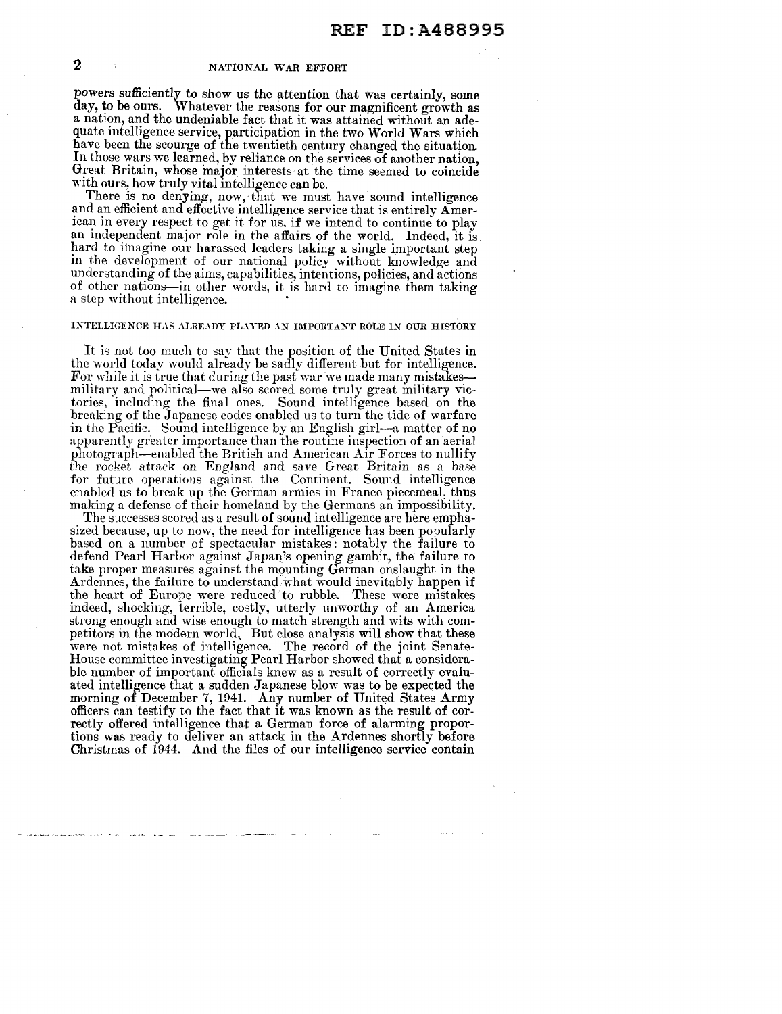powers sufficiently to show us the attention that was certainly, some day, to be ours. Whatever the reasons for our magnificent growth as a nation, and the undeniable fact that it was attained without an adequate intelligence service, participation in the two World Wars which have been the scourge of the twentieth century changed the situation. In those wars we learned, by reliance on the services of another nation, Great Britain, whose major interests at the time seemed to coincide with ours, how truly vital intelligence can be.

There is no denying, now, that we must have sound intelligence and an efficient and effective intelligence service that is entirely  $\mathbf{A}$ merican in every respect to get it for us, if we intend to continue to play an independent major role in the affairs of the world. Indeed, it is hard to imagine our harassed leaders taking a single important step m the development of our national policy without know ledge and understanding of the aims, capabilities, intentions, policies, and actions of other nations-in other 'vords, it is hard to imagine them taking a step without intelligence.

## INTELLIGENCE HAS ALREADY PLAYED AN IMPORTANT ROLE IN OUR HISTORY

It is not too much to say that the position of the United States in the world today would already be sadly different but for intelligence. For while it is true that during the past war we made many mistakesmilitary and political—we also scored some truly great military victories, including the final ones. Sound intelligence based on the breaking of the Japanese codes enabled us to turn the tide of warfare in the Pacific. Sound intelligence by an English girl—a matter of no apparently greater importance than the routine inspection of an aerial photograph-enabled the British and American Air Forces to nullify the rocket attack on England and save Great Britain as a base for future operations against the Continent. Sound intelligence enabled us to break up the German armies in France piecemeal, thus making a defense of their homeland by the Germans an impossibility.

The successes scored as a result of sound intelligence are here emphasized because, up to now, the need for intelligence has been popularly based on a number of spectacular mistakes: notably the failure to defend Pearl Harbor against Japan's opening gambit, the failure to take proper measures against the mounting German onslaught in the Ardennes, the failure to understand.what would inevitably happen if the heart of Europe were reduced to rubble. These were mistakes indeed, shocking, terrible, costly, utterly unworthy of an America strong enough and wise enough to match strength and wits with competitors in the modern world, But close analysis will show that these were not mistakes of intelligence. The record of the joint Senate-House committee investigating Pearl Harbor showed that a considerable number of important officials knew as a result of correctly evaluated intelligence that a sudden Japanese blow was to be expected the morning of December 7, 1941. Any number of United States Army officers can testify to the fact that it was known as the result of correctly offered intelligence that a German force of alarming proportions was ready to deliver an attack in the Ardennes shortly before Christmas of 1944. And the files of our intelligence service contain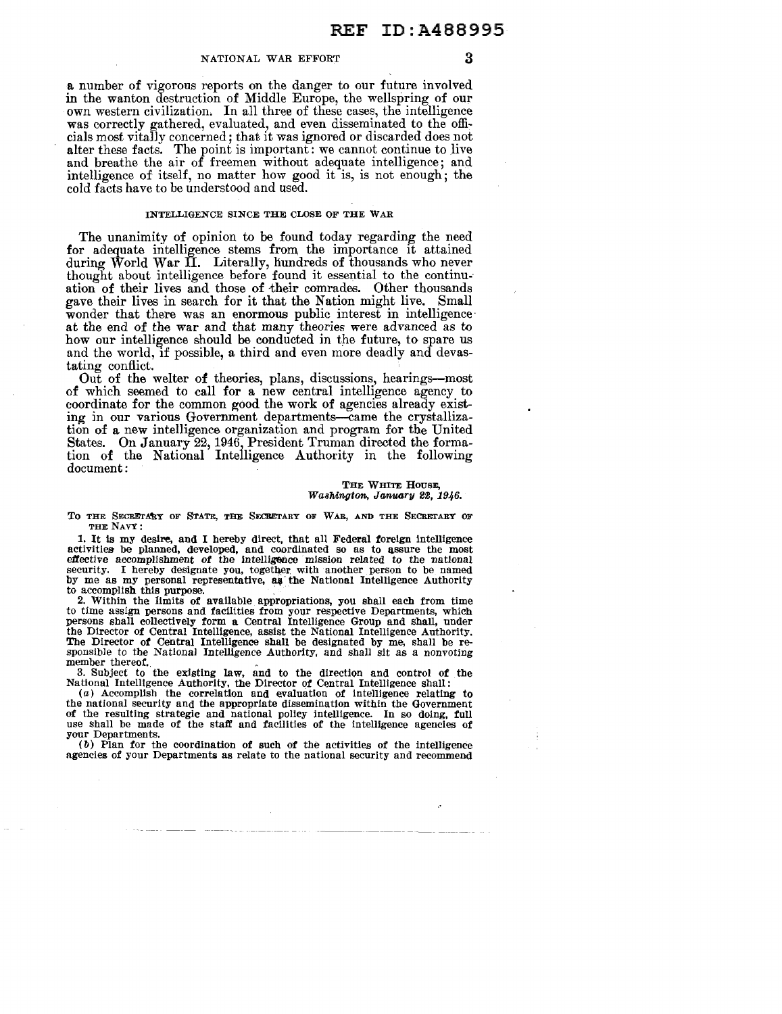a number of vigorous reports on the danger to our future involved in the wanton destruction of Middle Europe, the wellspring of our own western civilization. In all three of these cases, the intelligence was correctly gathered, evaluated, and even disseminated to the officials most vitally concerned; that it was ignored or discarded does not alter these facts. The point is important: we cannot continue to live and breathe the air of freemen without adequate intelligence; and intelligence of itself, no matter how good it is, is not enough; the cold facts have to be understood and used.

## INTELLIGENCE SINCE THE CLOSE OF THE WAR

The unanimity of opinion to be found today regarding the need for adequate intelligence stems from the importance it attained during World War II. Literally, hundreds of thousands who never thought about intelligence before found it essential to the continuation of their lives and those of their comrades. Other thousands gave their lives in search for it that the Nation might live. Small wonder that there was an enormous public interest in intelligence at the end of the war and that many theories were advanced as to how our intelligence should be conducted in the future, to spare us and the world, if possible, a third and even more deadly and devastating conflict.

Out of the welter of theories, plans, discussions, hearings-most of which seemed to call for a new central intelligence agency to coordinate for the common good the work of agencies already existing in our various Government departments-came the crystallization of a new intelligence organization and program for the United States. On January 22, 1946, President Truman directed the formation of the National Intehigence Authority in the following document:

#### THE WHITE HOUSE. Washington, January 22, 1946.

TO THE SECRETARY OF STATE, THE SECRETARY OF WAR, AND THE SECRETARY OF

THE NAVY:<br>1. It is my desire, and I hereby direct, that all Federal foreign intelligence 1. It is my desire, and I hereby direct, that all Federal foreign intelligence activities be planned, developed, and coordinated so as to assure the most effective accomplishment of the intelligence mission related to the national security. I hereby designate you, together with another person to be named by me as my personal representative, as the National Intelligence Authority to accomplish this purpose.<br>2. Within the limits of available appropriations, you shall each from time

to time assign persons and facilities from your respective Departments, which persons shall collectively form a Central Intelligence Group and shall, under the Director of Central Intelligence, assist the National Intelligence Authority. The Director of Central Intelligence shall be designated by me, shall be re-sponsible to the National Intelligence Authority, and shall sit as a nonvoting member thereof.

member thereof.<br>3. Subject to the existing law, and to the direction and control of the<br>National Intelligence Authority, the Director of Central Intelligence shall:

(a) Accomplish the correlation and evaluation of intelligence relating to the national security and the appropriate dissemination within the Government of the resulting strategic and national policy intelligence. In so doing, full use shall be made of the staff and facilities of the intelligence agencies of your Departments.

 $(b)$  Plan for the coordination of such of the activities of the intelligence agencies of your Departments as relate to the national security and recommend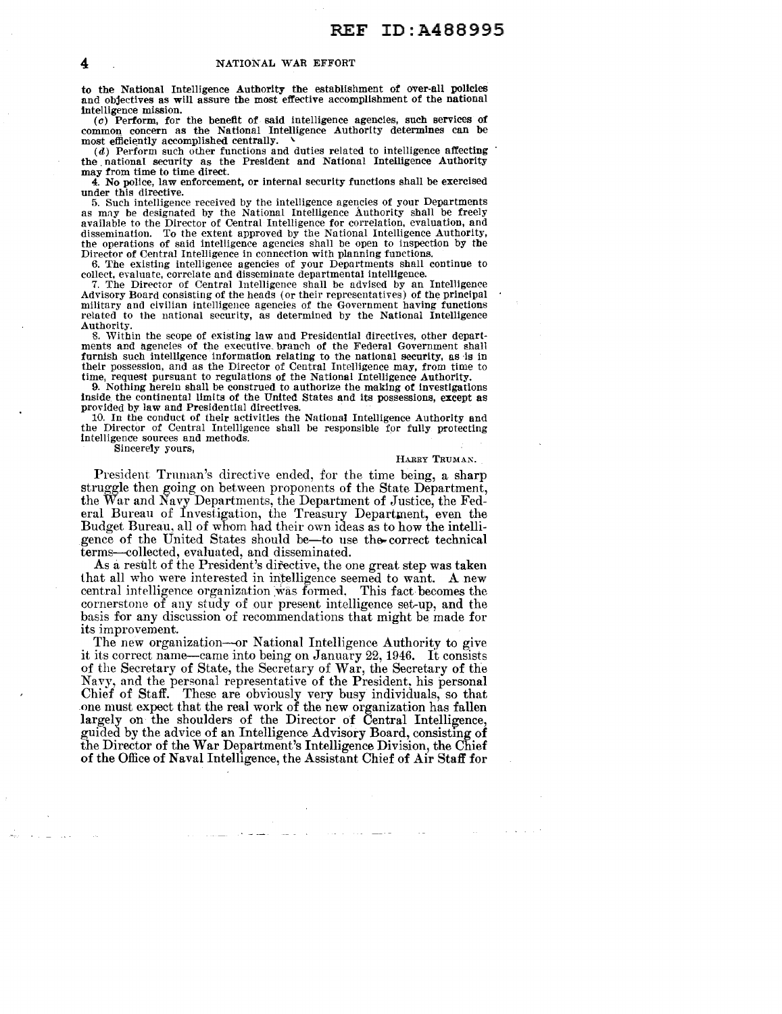to the National Intelligence Authority the establishment of over-all policies and objectives as will assure the most effective accomplishment of the national intelligence mission.

(c) Perform, for the benefit of said intelligence agencies, such services of common, concern as the National Intelligence Authority determines can be  $most$  efficiently accomplished centrally.

 $(d)$  Perform such other functions and duties related to intelligence affecting the national security as the President and National Intelligence Authority may from time to time direct.

4. No police, law enforcement, or internal security functions shall be exercised under this directive.<br>5. Such intelligence received by the intelligence agencies of your Departments

as may be designated by the National Intelligence Authority shall be freely available to the Director of Central Intelligence for correlation, evaluation, and dissemination. To the extent approved by the National Intelligence Authority, the operations of said intelligence agencies shall be open to inspection by the Director of Central Intelligence in connection with planning functions.

6. The existing intelligence agencies of your Departments shall continue to collect, evaluate, correlate and disseminate departmental intelllgence.

7. The Director of Central Intelligence shall be advised by an Intelligence Advisory Board consisting of the heads (or their representatives) of the principal military and civilian intelligence agencies of the Government having functions related to the national security, as determined by the National Intelligence Authority.

8. Within the scope of existing law and Presidential directives, other departments and agencies of the executive branch of the Federal Government shall furnish such intelligence information relating to the national security, as is in their possession, and as the Director of Central Intelligence may, from time to time, request pursuant to regulations of the National Intell

9. Nothing herein shall be construed to authorize the making of investigations inside. the continental limits of the United States and its possessions, except as provided by law and Presidential directives.

10. In the conduct of their activities the National Intelligence Authority and the Director of Central Intelligence shall be responsible for fully protecting intelligence sources and methods.

Sincerely yours,

HARRY TRUMAN.

President Truman's directive ended, for the time being, a sharp struggle then going on between proponents of the State Department, the War and Navy Departments, the Department of Justice, the Federal Bureau of Investigation, the Treasury Department, even the Budget Bureau, all of whom had their own ideas as to how the intelligence of the United States should be-to use the correct technical terms--collected, evaluated, and disseminated.

As a result of the President's directive, the one great step was taken that all who were interested in intelligence seemed to want. A new central intelligence organization was formed. This fact becomes the cornerstone of any study of our present intelligence set-up, and the basis for any discussion of recommendations that might be made for its improvement.

The new organization-or National Intelligence Authority to give it its correct name-came into being on Jan nary 22, 1946. It consists of the Secretary of State, the Secretary of War, the Secretary of the Navy, and the personal representative of the President, his personal Chief of Staff. These are obviously very busy individuals, so that one must expect that the real work of the new organization has fallen largely on the shoulders of the Director of Central Intelligence, guided by the advice of an Intelligence Advisory Board, consisting of the Director of the War Department's Intelligence Division, the Chief of the Office of Na val Intelligence, the Assistant Chief of Air Staff for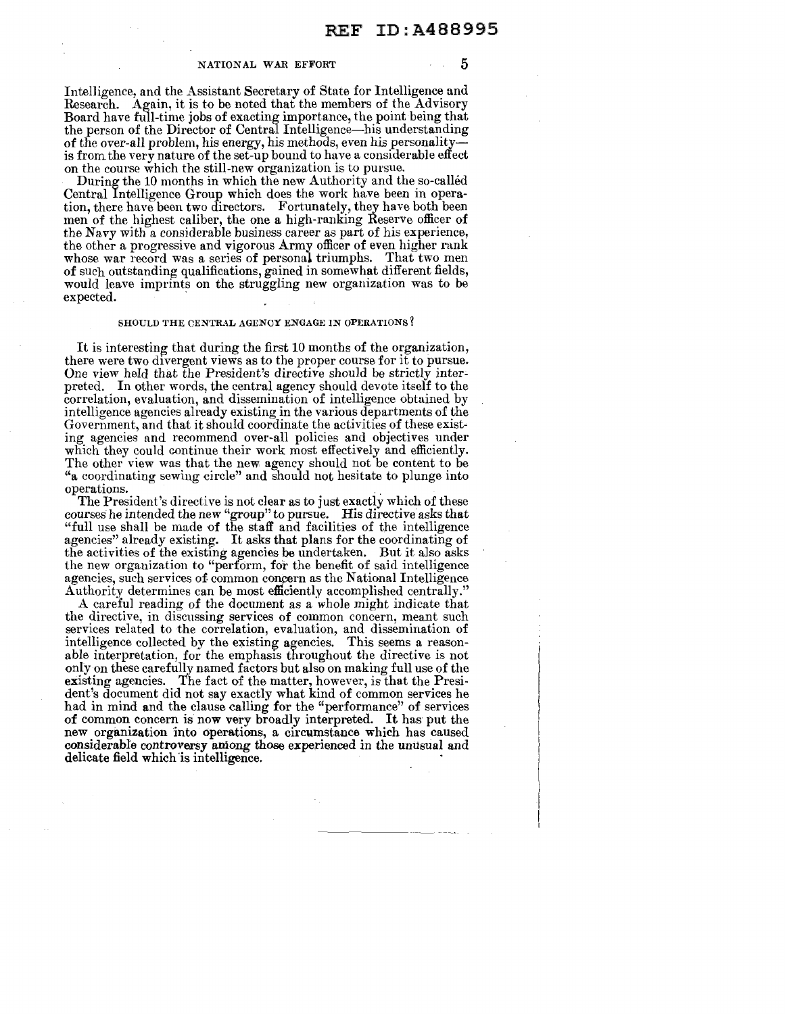Intel1igence, and the Assistant Secretary of State for Intelligence and Research. Again, it is to be noted that the members of the Advisory Board have full-time jobs of exacting importance, the point being that the person of the Director of Central Intelligence-his understanding of the over-all problem, his energy, his methods, even his personality is from the very nature of the set-up bound to have a considerable effect on the course which the still-new organization is to pursue.

During the 10 months in which the new Authority and the so-called Central Intelligence Group which does the work have been in operation, there have been two directors. Fortunately, they have both been men of the highest caliber, the one a high-ranking Reserve officer of the Navy with a considerable business career as part of his experience, the other a progressive and vigorous Army officer of even higher rank whose war record was a series of personal triumphs. That two men of such outstanding qualifications, gained in somewhat different fields, would leave imprints on the struggling new organization was to be expected.

### SHOULD THE CENTRAL AGENCY ENGAGE IN OPERATIONS?

It is interesting that during the first 10 months of the organization, there were two divergent views as to the proper course for it to pursue. One view held that the President's directive should be strictly interpreted. In other words, the central agency should devote itself to the correlation, evaluation, and dissemination of intelligence obtained by intelligence agencies already existing in the various departments of the Government, and that it should coordinate the activities of these existing agencies and recommend over-all policies and objectives under which they could continue their work most effectively and efficiently. The other view was that the new agency should not be content to be "a coordinating sewing circle" and should not hesitate to plunge into

operations.<br>The President's directive is not clear as to just exactly which of these courses he intended the new "group" to pursue. His directive asks that "full use shall be made of the staff and facilities of the intelligence agencies" already existing. It asks that plans for the coordinating of the activities of the existing agencies be undertaken. But it also asks the new organization to "perform, for the benefit of said intelligence agencies, such services of. common concern as the National Intelligence Authority determines can be most efficiently accomplished centrally."

A careful reading of the document as a whole might indicate that the directive, in discussing services of common concern, meant such services related to the correlation, evaluation, and dissemination of intelligence collected by the existing agencies. This seems a reasonable interpretation, for the emphasis throughout the directive is not only on these carefully named factors but also on making full use of the existing agencies. The fact of the matter, however, is that the President's document did not say exactly what kind of common services he had in mind and the clause calling for the "performance" of services of common concern is now very broadly interpreted. It has put the new organization into operations, a circumstance which has caused considerable controversy among those experienced in the unusual and delicate field which is intelligence.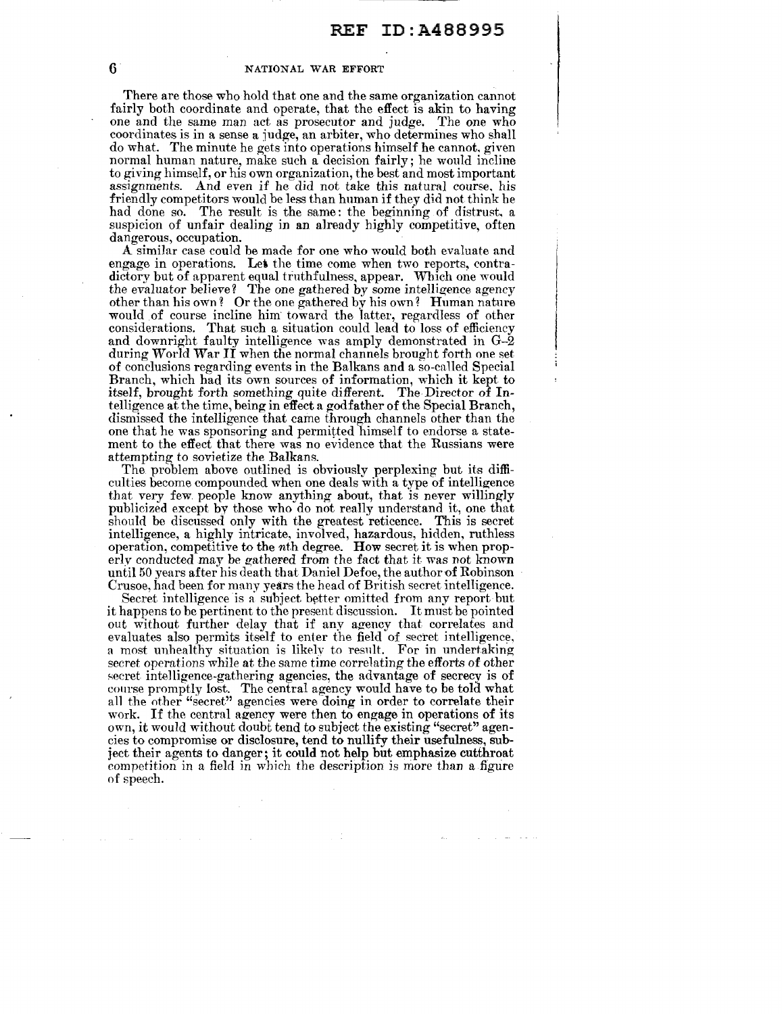There are those who hold that one and the same organization cannot fairly both coordinate and operate, that the effect is akin to having one and the same man act as prosecutor and judge. The one who coordinates is in a sense a judge, an arbiter, who determines who shall do what. The minute he gets into operations himself he cannot. given normal human nature, make such a decision fairly; he would incline to giving himself, or his own organization, the best and most important assignments. And even if he did not take this natural course. his friendly competitors would be less than human if they did not think he had done so. The result is the same: the beginning of distrust, a suspicion of unfair dealing in an already highly competitive, often dangerous, occupation.

A similar case could be made for one who would both evaluate and engage in operations. Let the time come when two reports, contradictory but of apparent equal truthfulness, appear. Which one would the evaluator believe? The one gathered by some intelligence agency other than his own? Or the one gathered by his own? Human nature would of course incline him toward the latter, regardless of other considerations. That such a situation could lead to loss of efficiency and downright faulty intelligence was amply demonstrated in G-2 during World War II when the normal channels brought forth one set of conclusions regarding events in the Balkans and a so-called Special Branch, which had its own sources of information, which it kept to itself, brought forth something quite different. The Director of Intelligence at the time, being in effect a godfather of the Special Branch, dismissed the intelligence that came through channels other than the one that he was sponsoring and permitted himself to endorse a statement to the effect that there was no evidence that the Russians were attempting *to* sovietize the Balkans.

The problem above outlined is obviously perplexing but its difficulties become compounded when one deals with a type of intelligence that very few. people know anything about, that is never willingly publicized except by those who do not really understand it, one that should be discussed only with the greatest reticence. This is secret intelligence, a highly intricate, involved, hazardous, hidden, ruthless operation, competitive to the nth degree. How secret it is when properly conducted may be gathered from the fact that it was not known until 50 years after his death that Daniel Defoe, the author of Robinson Crusoe, had been for many years the head of British secret intelligence.

Secret intelligence is a subject better omitted from any report but it happens to be pertinent to the present discussion. It must be pointed out without further delay that if any agency that correlates and evaluates also permits itself to enter the field of secret intelligence, a most unhealthy situation is likely to result. For in undertaking secret operations while at the same time correlating the efforts of other secret intelligence-gathering agencies, the advantage of secrecy is of course promptly lost. The central agency would have to be told what all the other "secret" agencies were doing in order to correlate their work. If the central agency were then to engage in operations of its own, it would without doubt tend to subject the existing "secret" agencies to compromise or disclosure, tend to nullify their usefulness, subject their agents to danger; it could not help but emphasize cutthroat competition in a field in which the description is more than a figure of speech.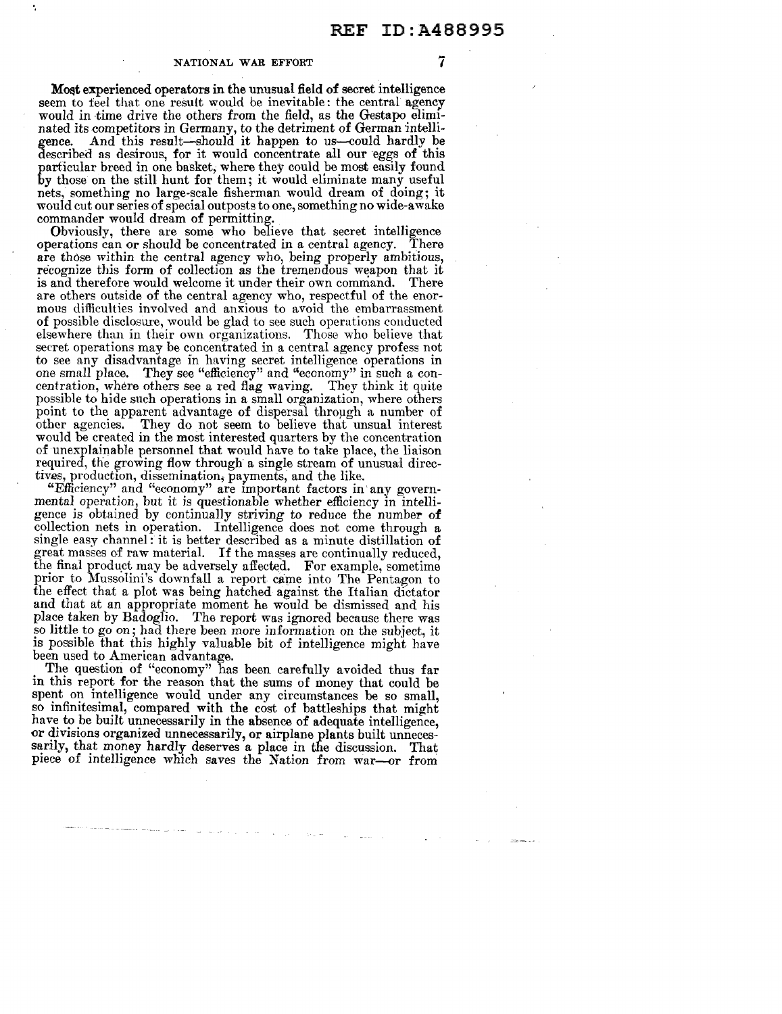Most experienced operators in the unusual field of secret intelligence seem to feel that one result would be inevitable: the central agency would in time drive the others from the field, as the Gestapo eliminated its competitors in Germany, to the detriment of German intelligence. And this result-should it happen to us-could hardly be described as desirous, for it would concentrate all our eggs of this particular breed in one basket, where they could be most easily found by those on the still hunt for them; it would eliminate many useful nets, something no large-scale fisherman would dream of doing; it would cut our series of special outposts to one, something no wide-awake commander would dream of permitting.

Obviously, there are some who believe that secret intelligence berations can or should be concentrated in a central agency. There operations can or should be concentrated in a central agency. are those within the central agency who, being properly ambitious, recognize this form of collection as the tremendous weapon that it is and therefore would welcome it under their own command. There are others outside of the central agency who, respectful of the enormous difficulties involved and anxious to avoid the embarrassment of possible disclosure, would be glad to see such operations conducted elsewhere than in their own organizations. Those who believe that secret operations may be concentrated in a central agency profess not to see any disadvantage in having secret intelligence operations in one small place. They see "efficiency" and "economy" in such a concentration, where others see a red flag waving. They think it quite possible to hide such operations in a small organization, where others point to the apparent advantage of dispersal through a number of other agencies. They do not seem to believe that unsual interest They do not seem to believe that unsual interest would be created in the most interested quarters by the concentration of unexplainable personnel that would have to take place, the liaison required, the growing flow through a single stream of unusual directives, production, dissemination, payments, and the like.

"Efficiency" and "economy" are important factors in· any governmental operation, but it is questionable whether efficiency in intelligence is obtained by continually striving to reduce the number of collection nets in operation. Intelligence does not come through a single easy channel: it is better described as a minute distillation of great masses of raw material. If the masses are continually reduced, the final product may be adversely affected. For example, sometime prior to Mussolini's downfall a report came into The Pentagon to the effect that a plot was being hatched against the Italian dictator and that at an appropriate moment he would be dismissed and his place taken by Badoglio. The report was ignored because there was so little to go on; had there been more information on the subject, it is possible that this highly valuable bit of intelligence might have been used to American advantage.

The question of "economy" has been carefully avoided thus far in this report for the reason that the sums of money that could be spent on intelligence would under any circumstances be so small, so infinitesimal, compared with the cost of battleships that might have to be built unnecessarily in the absence of adequate intelligence, or divisions organized unnecessarily, or airplane plants built unnecessarily, that money hardly deserves a place in the discussion. That piece of intelligence which saves the Nation from war--0r from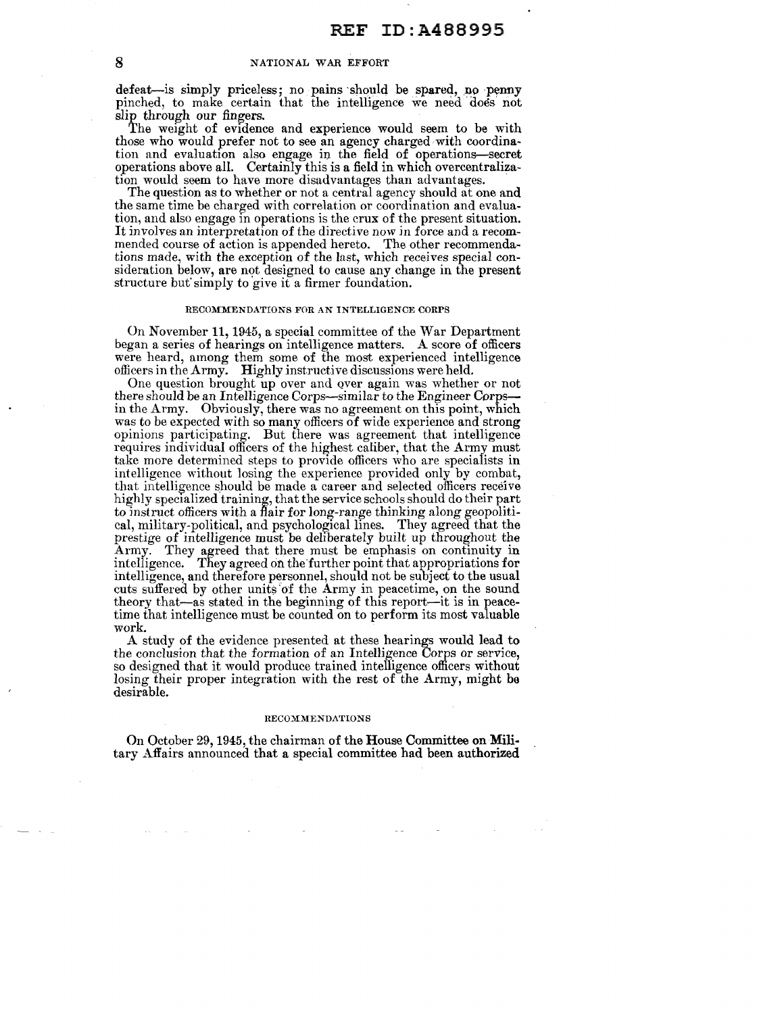defeat-is simply priceless; no pains should be spared, no penny pinched, to make certain that the intelligence we need does not slip through our fingers.

The weight of evidence and experience would seem to be with those who would prefer not to see an agency charged with coordination and evaluation also engage in the field of operations-secret operations above all. Certainly this is a field in which overcentralization would seem to have more disadvantages than advantages.

The question as to whether or not a central agency should at one and the same time be charged with correlation or coordination and evaluation, and also engage in operations is the crux of the present situation. It involves an interpretation of the directive now in force and a recommended course of action is appended hereto. The other recommendations made, with the exception of the last, which receives special consideration below, are not designed to cause any change in the present structure but' simply to give it a firmer foundation.

## RECOMMENDATIONS FOR AN INTELLIGENCE CORPS

On November 11, 1945, a special committee of the War Department began a series of hearings on intelligence matters. A score of officers were heard, among them some of the most experienced intelligence officers in the Army. Highly instructive discussions were held.

One question brought up over and over again was whether or not there should be an Intelligence Corps-similar to the Engineer Corpsin the Army. Obviously, there was no agreement on this point, which was to be expected with so many officers of wide experience and strong opinions participating. But there was agreement that intelligence requires individual officers of the highest caliber, that the Army must take more determined steps to provide officers who are specialists in intelligence without losing the experience provided only by combat, that intelligence should be made a career and selected officers receive highly specialized training, that the service schools should do their part to instruct officers with a flair for long-range thinking along geopolitical, military-political, and psychological lines. They agreed that the prestige of intelligence must be deliberately built up throughout the Army. They agreed that there must be emphasis on continuity in intelligence. They agreed on the'further point that appropriations for intelligence, and therefore personnel, should not be subject to the usual cuts suffered by other units of the Army in peacetime, on the sound theory that-as stated in the beginning of this report-it is in peacetime that intelligence must be counted on to perform its most valuable work.

A study of the evidence presented at these hearings would lead to the conclusion that the formation of an Intelligence Corps or service, so designed that it would produce trained intelligence officers without losing their proper integration with the rest of the Army, might ha desirable.

#### RECOMMENDATIONS

On October 29, 1945, the chairman of the House Committee on Military Affairs announced that a special committee had been authorized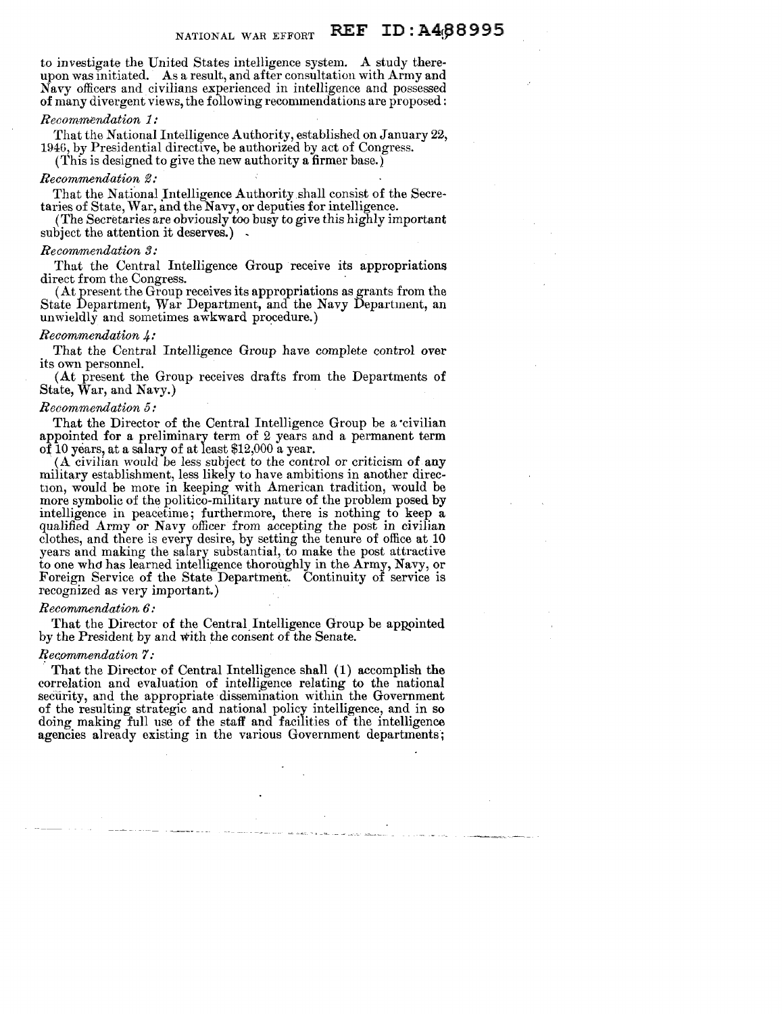to investigate the United States intelligence system. A study thereupon was initiated. As a result, and after consultation with Army and Navy officers and civilians experienced in intelligence and possessed of many divergent views, the following recommendations are proposed:

## *Recommendation 1:*

That the National Intelligence Authority, established on January 22, 1946, by Presidential directive, be authorized by act of Congress.

(This is designed to give the new authority a firmer base.)

## *Recommendation 2:*

That the National Intelligence Authority shall consist of the Secretaries of State, War, and the Navy, or deputies for intelligence.

(The Secretaries are obviously too busy to give this highly important subject the attention it deserves.).

#### $Recommendation 3:$

That the Central Intelligence Group receive its appropriations direct from the Congress.

 $A$ t present the Group receives its appropriations as grants from the State Department, War Department, and the Navy Department, an unwieldly and sometimes  $a\hat{w}$ kward procedure.)

## *Recommendation 4:*

That the Central Intelligence Group have complete control over its own personnel.

(At present the Group receives drafts from the Departments of State, War, and Navy.)

## *Recommendation 5:*

That the Director of the Central Intelligence Group be a civilian appointed for a preliminary term of 2 years and a permanent term of 10 years, at a salary of at least \$12,000 a year.

 $(A$  civilian would be less subject to the control or criticism of any military establishment, less likely to have ambitions in another direction, would be more in keeping with American tradition, would be more symbolic of the politico-m1litary nature of the problem posed by intelligence in peacetime; furthermore, there is nothing to keep a qualified Army or Navy officer from accepting the post in civilian clothes, and there is every desire, by setting the tenure of office at 10 years and making the salary substantial, to make the post attractive to one whd has learned intelligence thoroughly in the Army, Navy, or Foreign Service of the State Department. Continuity of service is recognized as very important.)

### *Recommendation 6:*

That the Director of the Central Intelligence Group be appointed by the President by and with the consent of the Senate.

## $Recommendation$   $?$ *:*

That the Director of Central Intelligence shall (1) accomplish the correlation and evaluation of intelligence relating to the national security, and the appropriate dissemination within the Government of the resulting strategic and national policy intelligence, and in so doing making full use of the staff and facilities of the intelligence agencies already existing in the various Government departments;